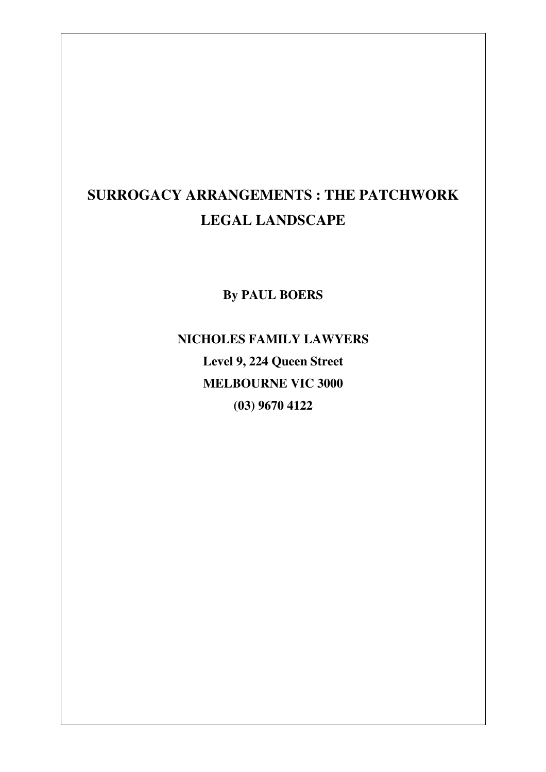# **SURROGACY ARRANGEMENTS : THE PATCHWORK LEGAL LANDSCAPE**

**By PAUL BOERS** 

**NICHOLES FAMILY LAWYERS Level 9, 224 Queen Street MELBOURNE VIC 3000 (03) 9670 4122**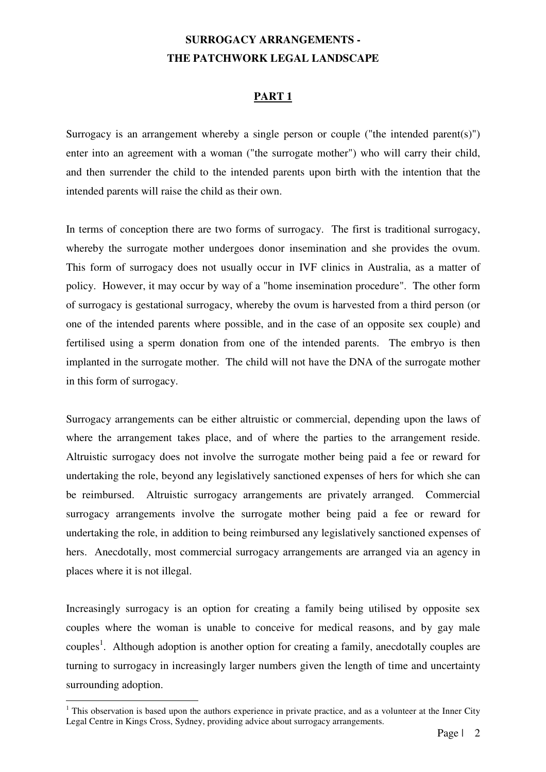# **SURROGACY ARRANGEMENTS - THE PATCHWORK LEGAL LANDSCAPE**

# **PART 1**

Surrogacy is an arrangement whereby a single person or couple ("the intended parent(s)") enter into an agreement with a woman ("the surrogate mother") who will carry their child, and then surrender the child to the intended parents upon birth with the intention that the intended parents will raise the child as their own.

In terms of conception there are two forms of surrogacy. The first is traditional surrogacy, whereby the surrogate mother undergoes donor insemination and she provides the ovum. This form of surrogacy does not usually occur in IVF clinics in Australia, as a matter of policy. However, it may occur by way of a "home insemination procedure". The other form of surrogacy is gestational surrogacy, whereby the ovum is harvested from a third person (or one of the intended parents where possible, and in the case of an opposite sex couple) and fertilised using a sperm donation from one of the intended parents. The embryo is then implanted in the surrogate mother. The child will not have the DNA of the surrogate mother in this form of surrogacy.

Surrogacy arrangements can be either altruistic or commercial, depending upon the laws of where the arrangement takes place, and of where the parties to the arrangement reside. Altruistic surrogacy does not involve the surrogate mother being paid a fee or reward for undertaking the role, beyond any legislatively sanctioned expenses of hers for which she can be reimbursed. Altruistic surrogacy arrangements are privately arranged. Commercial surrogacy arrangements involve the surrogate mother being paid a fee or reward for undertaking the role, in addition to being reimbursed any legislatively sanctioned expenses of hers. Anecdotally, most commercial surrogacy arrangements are arranged via an agency in places where it is not illegal.

Increasingly surrogacy is an option for creating a family being utilised by opposite sex couples where the woman is unable to conceive for medical reasons, and by gay male couples<sup>1</sup>. Although adoption is another option for creating a family, anecdotally couples are turning to surrogacy in increasingly larger numbers given the length of time and uncertainty surrounding adoption.

 $<sup>1</sup>$  This observation is based upon the authors experience in private practice, and as a volunteer at the Inner City</sup> Legal Centre in Kings Cross, Sydney, providing advice about surrogacy arrangements.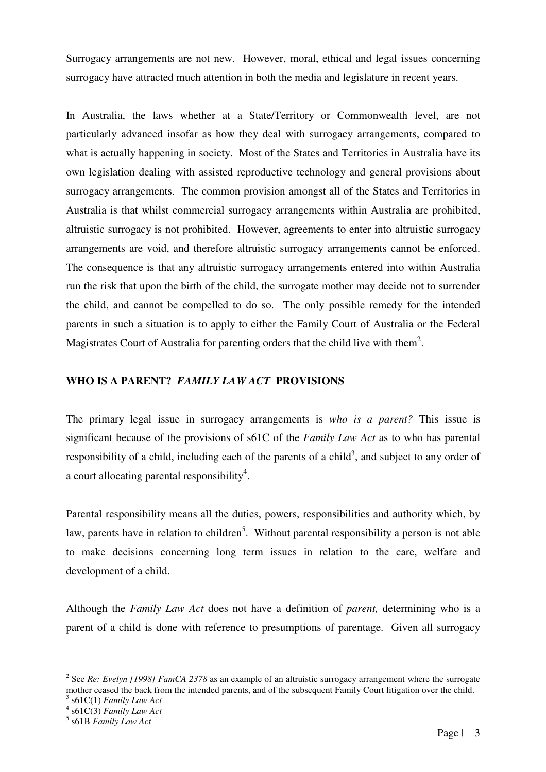Surrogacy arrangements are not new. However, moral, ethical and legal issues concerning surrogacy have attracted much attention in both the media and legislature in recent years.

In Australia, the laws whether at a State/Territory or Commonwealth level, are not particularly advanced insofar as how they deal with surrogacy arrangements, compared to what is actually happening in society. Most of the States and Territories in Australia have its own legislation dealing with assisted reproductive technology and general provisions about surrogacy arrangements. The common provision amongst all of the States and Territories in Australia is that whilst commercial surrogacy arrangements within Australia are prohibited, altruistic surrogacy is not prohibited. However, agreements to enter into altruistic surrogacy arrangements are void, and therefore altruistic surrogacy arrangements cannot be enforced. The consequence is that any altruistic surrogacy arrangements entered into within Australia run the risk that upon the birth of the child, the surrogate mother may decide not to surrender the child, and cannot be compelled to do so. The only possible remedy for the intended parents in such a situation is to apply to either the Family Court of Australia or the Federal Magistrates Court of Australia for parenting orders that the child live with them<sup>2</sup>.

# **WHO IS A PARENT?** *FAMILY LAW ACT* **PROVISIONS**

The primary legal issue in surrogacy arrangements is *who is a parent?* This issue is significant because of the provisions of s61C of the *Family Law Act* as to who has parental responsibility of a child, including each of the parents of a child<sup>3</sup>, and subject to any order of a court allocating parental responsibility<sup>4</sup>.

Parental responsibility means all the duties, powers, responsibilities and authority which, by law, parents have in relation to children<sup>5</sup>. Without parental responsibility a person is not able to make decisions concerning long term issues in relation to the care, welfare and development of a child.

Although the *Family Law Act* does not have a definition of *parent,* determining who is a parent of a child is done with reference to presumptions of parentage. Given all surrogacy

<sup>&</sup>lt;sup>2</sup> See *Re: Evelyn [1998] FamCA 2378* as an example of an altruistic surrogacy arrangement where the surrogate mother ceased the back from the intended parents, and of the subsequent Family Court litigation over the child. 3 s61C(1) *Family Law Act* 

<sup>4</sup> s61C(3) *Family Law Act* 

<sup>5</sup> s61B *Family Law Act*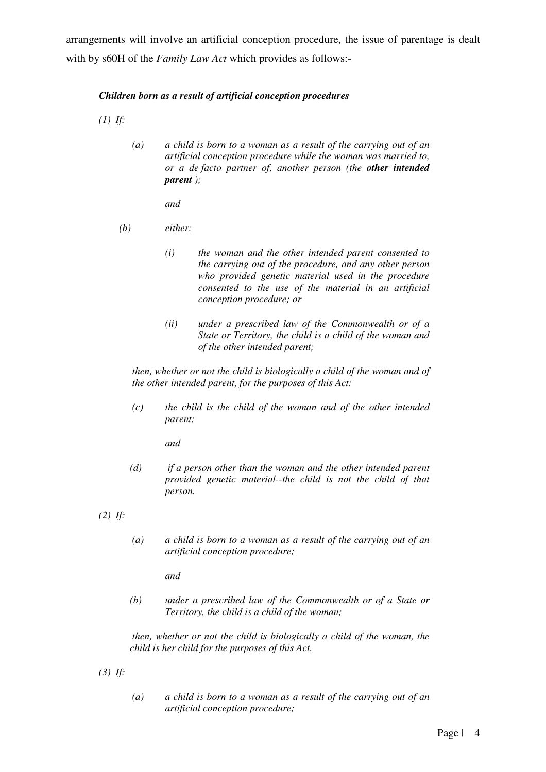arrangements will involve an artificial conception procedure, the issue of parentage is dealt with by s60H of the *Family Law Act* which provides as follows:-

#### *Children born as a result of artificial conception procedures*

 *(1) If:* 

*(a) a child is born to a woman as a result of the carrying out of an artificial conception procedure while the woman was married to, or a de facto partner of, another person (the other intended parent );* 

*and* 

- *(b) either:* 
	- *(i) the woman and the other intended parent consented to the carrying out of the procedure, and any other person who provided genetic material used in the procedure consented to the use of the material in an artificial conception procedure; or*
	- *(ii) under a prescribed law of the Commonwealth or of a State or Territory, the child is a child of the woman and of the other intended parent;*

*then, whether or not the child is biologically a child of the woman and of the other intended parent, for the purposes of this Act:* 

*(c) the child is the child of the woman and of the other intended parent;* 

*and* 

*(d) if a person other than the woman and the other intended parent provided genetic material--the child is not the child of that person.* 

 *(2) If:* 

*(a) a child is born to a woman as a result of the carrying out of an artificial conception procedure;* 

*and* 

*(b) under a prescribed law of the Commonwealth or of a State or Territory, the child is a child of the woman;* 

*then, whether or not the child is biologically a child of the woman, the child is her child for the purposes of this Act.* 

- *(3) If:*
- *(a) a child is born to a woman as a result of the carrying out of an artificial conception procedure;*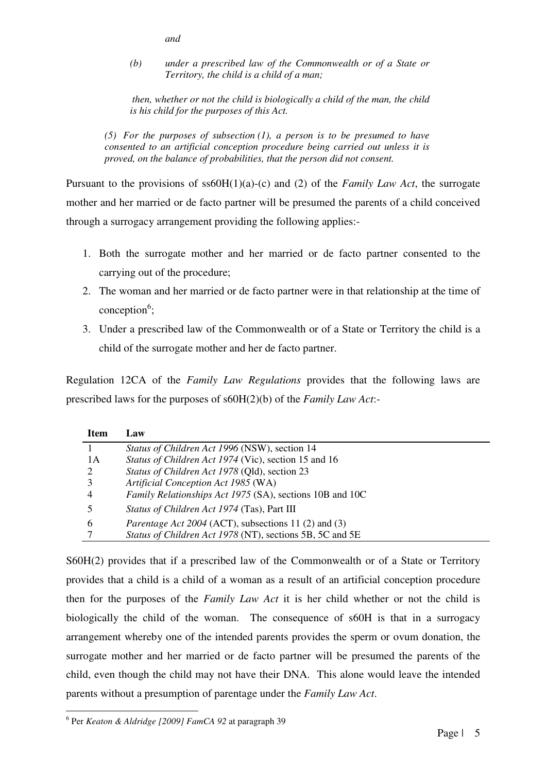*and* 

*(b) under a prescribed law of the Commonwealth or of a State or Territory, the child is a child of a man;* 

*then, whether or not the child is biologically a child of the man, the child is his child for the purposes of this Act.* 

*(5) For the purposes of subsection (1), a person is to be presumed to have consented to an artificial conception procedure being carried out unless it is proved, on the balance of probabilities, that the person did not consent.* 

Pursuant to the provisions of ss60H(1)(a)-(c) and (2) of the *Family Law Act*, the surrogate mother and her married or de facto partner will be presumed the parents of a child conceived through a surrogacy arrangement providing the following applies:-

- 1. Both the surrogate mother and her married or de facto partner consented to the carrying out of the procedure;
- 2. The woman and her married or de facto partner were in that relationship at the time of  $conception<sup>6</sup>;$
- 3. Under a prescribed law of the Commonwealth or of a State or Territory the child is a child of the surrogate mother and her de facto partner.

Regulation 12CA of the *Family Law Regulations* provides that the following laws are prescribed laws for the purposes of s60H(2)(b) of the *Family Law Act*:-

| <b>Item</b> | Law                                                         |
|-------------|-------------------------------------------------------------|
|             | Status of Children Act 1996 (NSW), section 14               |
| 1 A         | Status of Children Act 1974 (Vic), section 15 and 16        |
|             | Status of Children Act 1978 (Qld), section 23               |
|             | Artificial Conception Act 1985 (WA)                         |
|             | Family Relationships Act 1975 (SA), sections 10B and 10C    |
|             | <i>Status of Children Act 1974</i> (Tas), Part III          |
| 6           | <i>Parentage Act 2004</i> (ACT), subsections 11 (2) and (3) |
|             | Status of Children Act 1978 (NT), sections 5B, 5C and 5E    |
|             |                                                             |

S60H(2) provides that if a prescribed law of the Commonwealth or of a State or Territory provides that a child is a child of a woman as a result of an artificial conception procedure then for the purposes of the *Family Law Act* it is her child whether or not the child is biologically the child of the woman. The consequence of s60H is that in a surrogacy arrangement whereby one of the intended parents provides the sperm or ovum donation, the surrogate mother and her married or de facto partner will be presumed the parents of the child, even though the child may not have their DNA. This alone would leave the intended parents without a presumption of parentage under the *Family Law Act*.

<sup>6</sup> Per *Keaton & Aldridge [2009] FamCA 92* at paragraph 39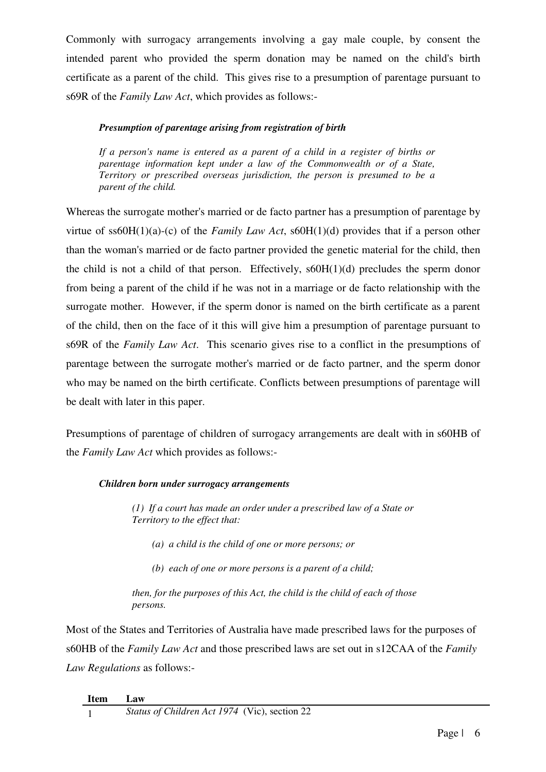Commonly with surrogacy arrangements involving a gay male couple, by consent the intended parent who provided the sperm donation may be named on the child's birth certificate as a parent of the child. This gives rise to a presumption of parentage pursuant to s69R of the *Family Law Act*, which provides as follows:-

## *Presumption of parentage arising from registration of birth*

*If a person's name is entered as a parent of a child in a register of births or parentage information kept under a law of the Commonwealth or of a State, Territory or prescribed overseas jurisdiction, the person is presumed to be a parent of the child.* 

Whereas the surrogate mother's married or de facto partner has a presumption of parentage by virtue of ss60H(1)(a)-(c) of the *Family Law Act*, s60H(1)(d) provides that if a person other than the woman's married or de facto partner provided the genetic material for the child, then the child is not a child of that person. Effectively,  $s60H(1)(d)$  precludes the sperm donor from being a parent of the child if he was not in a marriage or de facto relationship with the surrogate mother. However, if the sperm donor is named on the birth certificate as a parent of the child, then on the face of it this will give him a presumption of parentage pursuant to s69R of the *Family Law Act*. This scenario gives rise to a conflict in the presumptions of parentage between the surrogate mother's married or de facto partner, and the sperm donor who may be named on the birth certificate. Conflicts between presumptions of parentage will be dealt with later in this paper.

Presumptions of parentage of children of surrogacy arrangements are dealt with in s60HB of the *Family Law Act* which provides as follows:-

# *Children born under surrogacy arrangements*

*(1) If a court has made an order under a prescribed law of a State or Territory to the effect that:* 

- *(a) a child is the child of one or more persons; or*
- *(b) each of one or more persons is a parent of a child;*

*then, for the purposes of this Act, the child is the child of each of those persons.* 

Most of the States and Territories of Australia have made prescribed laws for the purposes of s60HB of the *Family Law Act* and those prescribed laws are set out in s12CAA of the *Family Law Regulations* as follows:-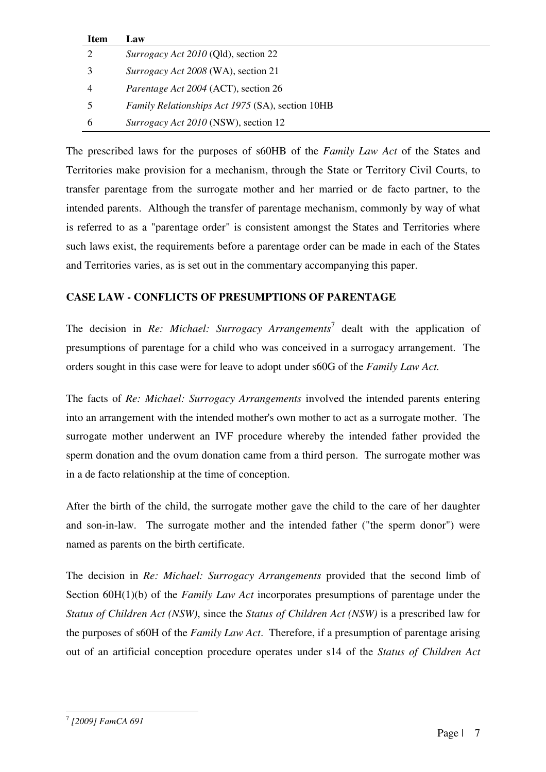| <b>Item</b>   | Law                                                     |
|---------------|---------------------------------------------------------|
|               | <i>Surrogacy Act 2010</i> (Qld), section 22             |
|               | <i>Surrogacy Act 2008</i> (WA), section 21              |
| 4             | <i>Parentage Act 2004</i> (ACT), section 26             |
|               | <i>Family Relationships Act 1975 (SA), section 10HB</i> |
| $\mathfrak b$ | <i>Surrogacy Act 2010</i> (NSW), section 12             |

The prescribed laws for the purposes of s60HB of the *Family Law Act* of the States and Territories make provision for a mechanism, through the State or Territory Civil Courts, to transfer parentage from the surrogate mother and her married or de facto partner, to the intended parents. Although the transfer of parentage mechanism, commonly by way of what is referred to as a "parentage order" is consistent amongst the States and Territories where such laws exist, the requirements before a parentage order can be made in each of the States and Territories varies, as is set out in the commentary accompanying this paper.

# **CASE LAW - CONFLICTS OF PRESUMPTIONS OF PARENTAGE**

The decision in *Re: Michael: Surrogacy Arrangements*<sup>7</sup> dealt with the application of presumptions of parentage for a child who was conceived in a surrogacy arrangement. The orders sought in this case were for leave to adopt under s60G of the *Family Law Act.* 

The facts of *Re: Michael: Surrogacy Arrangements* involved the intended parents entering into an arrangement with the intended mother's own mother to act as a surrogate mother. The surrogate mother underwent an IVF procedure whereby the intended father provided the sperm donation and the ovum donation came from a third person. The surrogate mother was in a de facto relationship at the time of conception.

After the birth of the child, the surrogate mother gave the child to the care of her daughter and son-in-law. The surrogate mother and the intended father ("the sperm donor") were named as parents on the birth certificate.

The decision in *Re: Michael: Surrogacy Arrangements* provided that the second limb of Section 60H(1)(b) of the *Family Law Act* incorporates presumptions of parentage under the *Status of Children Act (NSW)*, since the *Status of Children Act (NSW)* is a prescribed law for the purposes of s60H of the *Family Law Act*. Therefore, if a presumption of parentage arising out of an artificial conception procedure operates under s14 of the *Status of Children Act* 

<sup>7</sup>  *[2009] FamCA 691*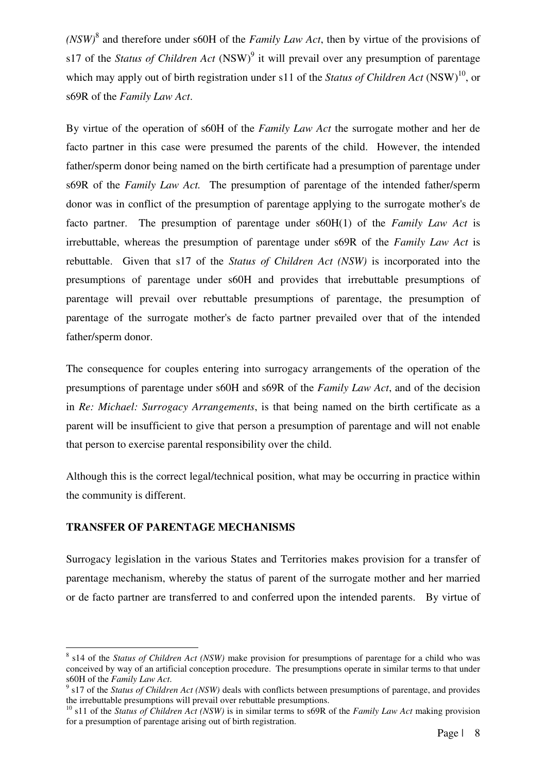*(NSW)*<sup>8</sup> and therefore under s60H of the *Family Law Act*, then by virtue of the provisions of s17 of the *Status of Children Act* (NSW)<sup>9</sup> it will prevail over any presumption of parentage which may apply out of birth registration under s11 of the *Status of Children Act* (NSW)<sup>10</sup>, or s69R of the *Family Law Act*.

By virtue of the operation of s60H of the *Family Law Act* the surrogate mother and her de facto partner in this case were presumed the parents of the child. However, the intended father/sperm donor being named on the birth certificate had a presumption of parentage under s69R of the *Family Law Act.* The presumption of parentage of the intended father/sperm donor was in conflict of the presumption of parentage applying to the surrogate mother's de facto partner. The presumption of parentage under s60H(1) of the *Family Law Act* is irrebuttable, whereas the presumption of parentage under s69R of the *Family Law Act* is rebuttable. Given that s17 of the *Status of Children Act (NSW)* is incorporated into the presumptions of parentage under s60H and provides that irrebuttable presumptions of parentage will prevail over rebuttable presumptions of parentage, the presumption of parentage of the surrogate mother's de facto partner prevailed over that of the intended father/sperm donor.

The consequence for couples entering into surrogacy arrangements of the operation of the presumptions of parentage under s60H and s69R of the *Family Law Act*, and of the decision in *Re: Michael: Surrogacy Arrangements*, is that being named on the birth certificate as a parent will be insufficient to give that person a presumption of parentage and will not enable that person to exercise parental responsibility over the child.

Although this is the correct legal/technical position, what may be occurring in practice within the community is different.

# **TRANSFER OF PARENTAGE MECHANISMS**

l.

Surrogacy legislation in the various States and Territories makes provision for a transfer of parentage mechanism, whereby the status of parent of the surrogate mother and her married or de facto partner are transferred to and conferred upon the intended parents. By virtue of

<sup>&</sup>lt;sup>8</sup> s14 of the *Status of Children Act (NSW)* make provision for presumptions of parentage for a child who was conceived by way of an artificial conception procedure. The presumptions operate in similar terms to that under s60H of the *Family Law Act*.

<sup>9</sup> s17 of the *Status of Children Act (NSW)* deals with conflicts between presumptions of parentage, and provides the irrebuttable presumptions will prevail over rebuttable presumptions.

<sup>&</sup>lt;sup>10</sup> s11 of the *Status of Children Act (NSW)* is in similar terms to s69R of the *Family Law Act* making provision for a presumption of parentage arising out of birth registration.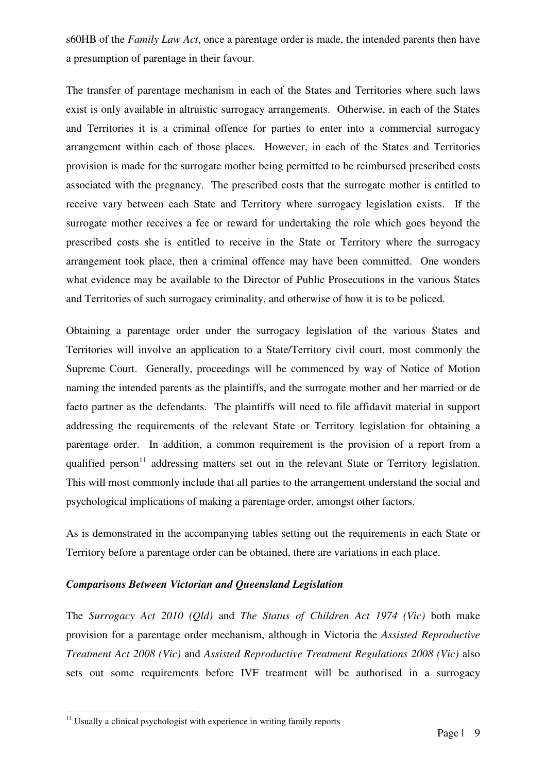s60HB of the *Family Law Act*, once a parentage order is made, the intended parents then have a presumption of parentage in their favour.

The transfer of parentage mechanism in each of the States and Territories where such laws exist is only available in altruistic surrogacy arrangements. Otherwise, in each of the States and Territories it is a criminal offence for parties to enter into a commercial surrogacy arrangement within each of those places. However, in each of the States and Territories provision is made for the surrogate mother being permitted to be reimbursed prescribed costs associated with the pregnancy. The prescribed costs that the surrogate mother is entitled to receive vary between each State and Territory where surrogacy legislation exists. If the surrogate mother receives a fee or reward for undertaking the role which goes beyond the prescribed costs she is entitled to receive in the State or Territory where the surrogacy arrangement took place, then a criminal offence may have been committed. One wonders what evidence may be available to the Director of Public Prosecutions in the various States and Territories of such surrogacy criminality, and otherwise of how it is to be policed.

Obtaining a parentage order under the surrogacy legislation of the various States and Territories will involve an application to a State/Territory civil court, most commonly the Supreme Court. Generally, proceedings will be commenced by way of Notice of Motion naming the intended parents as the plaintiffs, and the surrogate mother and her married or de facto partner as the defendants. The plaintiffs will need to file affidavit material in support addressing the requirements of the relevant State or Territory legislation for obtaining a parentage order. In addition, a common requirement is the provision of a report from a qualified person<sup>11</sup> addressing matters set out in the relevant State or Territory legislation. This will most commonly include that all parties to the arrangement understand the social and psychological implications of making a parentage order, amongst other factors.

As is demonstrated in the accompanying tables setting out the requirements in each State or Territory before a parentage order can be obtained, there are variations in each place.

# *Comparisons Between Victorian and Queensland Legislation*

The *Surrogacy Act 2010 (Qld)* and *The Status of Children Act 1974 (Vic)* both make provision for a parentage order mechanism, although in Victoria the *Assisted Reproductive Treatment Act 2008 (Vic)* and *Assisted Reproductive Treatment Regulations 2008 (Vic)* also sets out some requirements before IVF treatment will be authorised in a surrogacy

 $11$  Usually a clinical psychologist with experience in writing family reports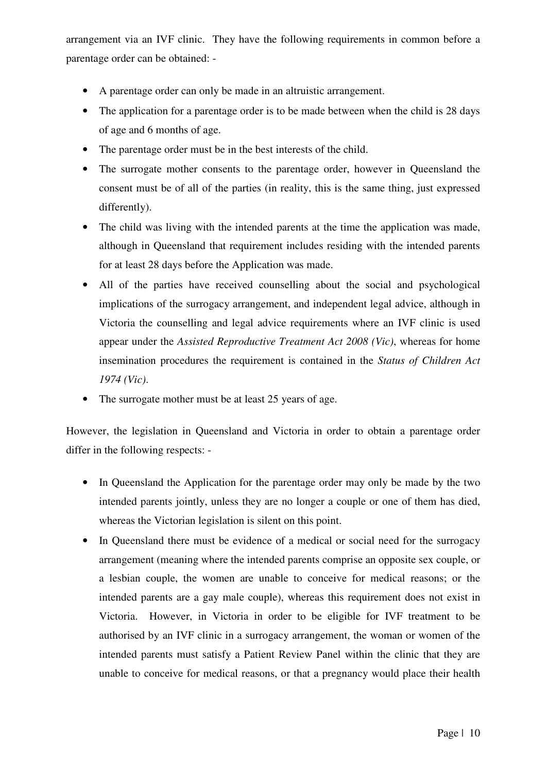arrangement via an IVF clinic. They have the following requirements in common before a parentage order can be obtained: -

- A parentage order can only be made in an altruistic arrangement.
- The application for a parentage order is to be made between when the child is 28 days of age and 6 months of age.
- The parentage order must be in the best interests of the child.
- The surrogate mother consents to the parentage order, however in Queensland the consent must be of all of the parties (in reality, this is the same thing, just expressed differently).
- The child was living with the intended parents at the time the application was made, although in Queensland that requirement includes residing with the intended parents for at least 28 days before the Application was made.
- All of the parties have received counselling about the social and psychological implications of the surrogacy arrangement, and independent legal advice, although in Victoria the counselling and legal advice requirements where an IVF clinic is used appear under the *Assisted Reproductive Treatment Act 2008 (Vic)*, whereas for home insemination procedures the requirement is contained in the *Status of Children Act 1974 (Vic)*.
- The surrogate mother must be at least 25 years of age.

However, the legislation in Queensland and Victoria in order to obtain a parentage order differ in the following respects: -

- In Queensland the Application for the parentage order may only be made by the two intended parents jointly, unless they are no longer a couple or one of them has died, whereas the Victorian legislation is silent on this point.
- In Queensland there must be evidence of a medical or social need for the surrogacy arrangement (meaning where the intended parents comprise an opposite sex couple, or a lesbian couple, the women are unable to conceive for medical reasons; or the intended parents are a gay male couple), whereas this requirement does not exist in Victoria. However, in Victoria in order to be eligible for IVF treatment to be authorised by an IVF clinic in a surrogacy arrangement, the woman or women of the intended parents must satisfy a Patient Review Panel within the clinic that they are unable to conceive for medical reasons, or that a pregnancy would place their health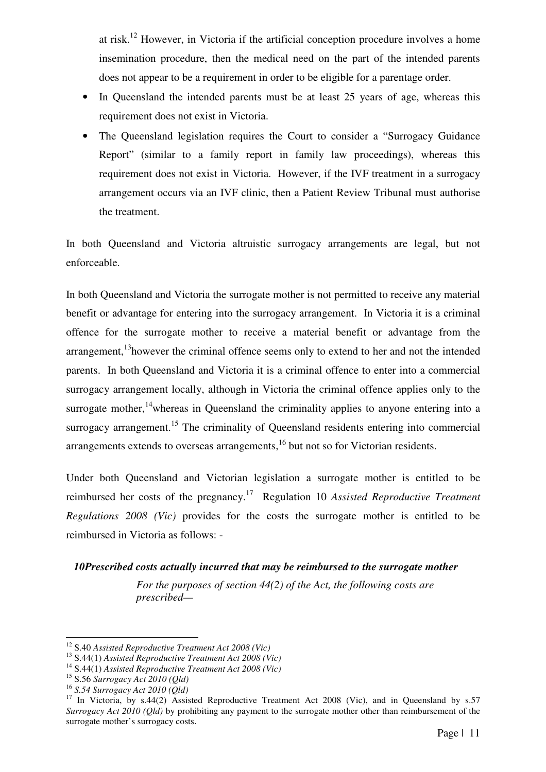at risk.<sup>12</sup> However, in Victoria if the artificial conception procedure involves a home insemination procedure, then the medical need on the part of the intended parents does not appear to be a requirement in order to be eligible for a parentage order.

- In Queensland the intended parents must be at least 25 years of age, whereas this requirement does not exist in Victoria.
- The Queensland legislation requires the Court to consider a "Surrogacy Guidance Report" (similar to a family report in family law proceedings), whereas this requirement does not exist in Victoria. However, if the IVF treatment in a surrogacy arrangement occurs via an IVF clinic, then a Patient Review Tribunal must authorise the treatment.

In both Queensland and Victoria altruistic surrogacy arrangements are legal, but not enforceable.

In both Queensland and Victoria the surrogate mother is not permitted to receive any material benefit or advantage for entering into the surrogacy arrangement. In Victoria it is a criminal offence for the surrogate mother to receive a material benefit or advantage from the arrangement, $13$ however the criminal offence seems only to extend to her and not the intended parents. In both Queensland and Victoria it is a criminal offence to enter into a commercial surrogacy arrangement locally, although in Victoria the criminal offence applies only to the surrogate mother,<sup>14</sup>whereas in Queensland the criminality applies to anyone entering into a surrogacy arrangement.<sup>15</sup> The criminality of Queensland residents entering into commercial arrangements extends to overseas arrangements,<sup>16</sup> but not so for Victorian residents.

Under both Queensland and Victorian legislation a surrogate mother is entitled to be reimbursed her costs of the pregnancy.<sup>17</sup> Regulation 10 *Assisted Reproductive Treatment Regulations 2008 (Vic)* provides for the costs the surrogate mother is entitled to be reimbursed in Victoria as follows: -

# *10Prescribed costs actually incurred that may be reimbursed to the surrogate mother*

*For the purposes of section 44(2) of the Act, the following costs are prescribed—* 

<sup>12</sup> S.40 *Assisted Reproductive Treatment Act 2008 (Vic)* 

<sup>13</sup> S.44(1) *Assisted Reproductive Treatment Act 2008 (Vic)*

<sup>14</sup> S.44(1) *Assisted Reproductive Treatment Act 2008 (Vic)*

<sup>15</sup> S.56 *Surrogacy Act 2010 (Qld)*

<sup>16</sup> *S.54 Surrogacy Act 2010 (Qld)*

<sup>&</sup>lt;sup>17</sup> In Victoria, by s.44(2) Assisted Reproductive Treatment Act 2008 (Vic), and in Queensland by s.57 *Surrogacy Act 2010 (Qld)* by prohibiting any payment to the surrogate mother other than reimbursement of the surrogate mother's surrogacy costs.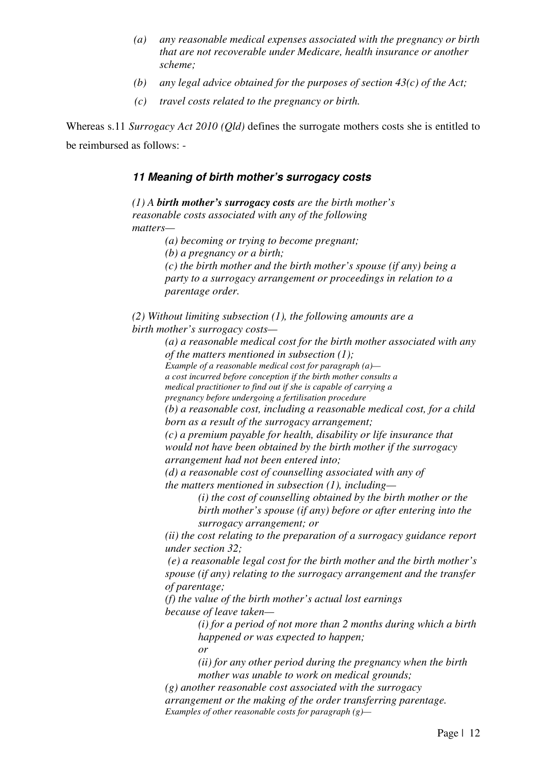- *(a) any reasonable medical expenses associated with the pregnancy or birth that are not recoverable under Medicare, health insurance or another scheme;*
- *(b) any legal advice obtained for the purposes of section 43(c) of the Act;*
- *(c) travel costs related to the pregnancy or birth.*

Whereas s.11 *Surrogacy Act 2010 (Qld)* defines the surrogate mothers costs she is entitled to be reimbursed as follows: -

# **11 Meaning of birth mother's surrogacy costs**

*(1) A birth mother's surrogacy costs are the birth mother's reasonable costs associated with any of the following matters—* 

*(a) becoming or trying to become pregnant;* 

*(b) a pregnancy or a birth;* 

*(c) the birth mother and the birth mother's spouse (if any) being a party to a surrogacy arrangement or proceedings in relation to a parentage order.* 

*(2) Without limiting subsection (1), the following amounts are a birth mother's surrogacy costs—* 

> *(a) a reasonable medical cost for the birth mother associated with any of the matters mentioned in subsection (1);*

*Example of a reasonable medical cost for paragraph (a)—* 

*a cost incurred before conception if the birth mother consults a medical practitioner to find out if she is capable of carrying a* 

*pregnancy before undergoing a fertilisation procedure* 

*(b) a reasonable cost, including a reasonable medical cost, for a child* 

*born as a result of the surrogacy arrangement;* 

*(c) a premium payable for health, disability or life insurance that would not have been obtained by the birth mother if the surrogacy arrangement had not been entered into;* 

*(d) a reasonable cost of counselling associated with any of the matters mentioned in subsection (1), including—*

> *(i) the cost of counselling obtained by the birth mother or the birth mother's spouse (if any) before or after entering into the surrogacy arrangement; or*

*(ii) the cost relating to the preparation of a surrogacy guidance report under section 32;* 

*(e) a reasonable legal cost for the birth mother and the birth mother's spouse (if any) relating to the surrogacy arrangement and the transfer of parentage;* 

*(f) the value of the birth mother's actual lost earnings because of leave taken—* 

*(i) for a period of not more than 2 months during which a birth happened or was expected to happen;* 

*or* 

*(ii) for any other period during the pregnancy when the birth mother was unable to work on medical grounds;* 

*(g) another reasonable cost associated with the surrogacy arrangement or the making of the order transferring parentage. Examples of other reasonable costs for paragraph (g)—*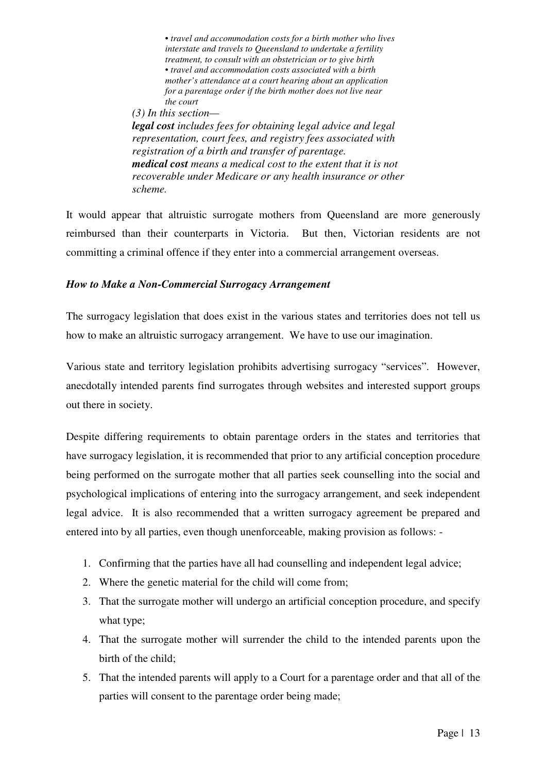*• travel and accommodation costs for a birth mother who lives interstate and travels to Queensland to undertake a fertility treatment, to consult with an obstetrician or to give birth • travel and accommodation costs associated with a birth mother's attendance at a court hearing about an application for a parentage order if the birth mother does not live near the court (3) In this section legal cost includes fees for obtaining legal advice and legal representation, court fees, and registry fees associated with registration of a birth and transfer of parentage.* 

*medical cost means a medical cost to the extent that it is not recoverable under Medicare or any health insurance or other scheme.* 

It would appear that altruistic surrogate mothers from Queensland are more generously reimbursed than their counterparts in Victoria. But then, Victorian residents are not committing a criminal offence if they enter into a commercial arrangement overseas.

### *How to Make a Non-Commercial Surrogacy Arrangement*

The surrogacy legislation that does exist in the various states and territories does not tell us how to make an altruistic surrogacy arrangement. We have to use our imagination.

Various state and territory legislation prohibits advertising surrogacy "services". However, anecdotally intended parents find surrogates through websites and interested support groups out there in society.

Despite differing requirements to obtain parentage orders in the states and territories that have surrogacy legislation, it is recommended that prior to any artificial conception procedure being performed on the surrogate mother that all parties seek counselling into the social and psychological implications of entering into the surrogacy arrangement, and seek independent legal advice. It is also recommended that a written surrogacy agreement be prepared and entered into by all parties, even though unenforceable, making provision as follows: -

- 1. Confirming that the parties have all had counselling and independent legal advice;
- 2. Where the genetic material for the child will come from;
- 3. That the surrogate mother will undergo an artificial conception procedure, and specify what type;
- 4. That the surrogate mother will surrender the child to the intended parents upon the birth of the child;
- 5. That the intended parents will apply to a Court for a parentage order and that all of the parties will consent to the parentage order being made;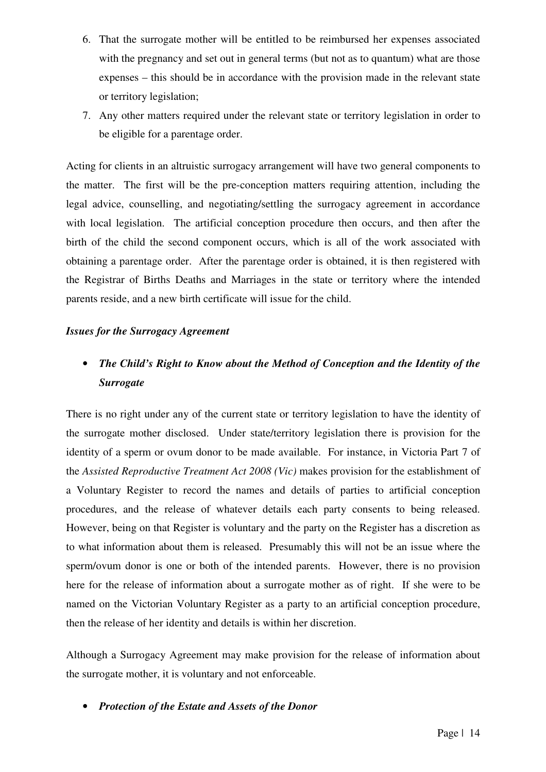- 6. That the surrogate mother will be entitled to be reimbursed her expenses associated with the pregnancy and set out in general terms (but not as to quantum) what are those expenses – this should be in accordance with the provision made in the relevant state or territory legislation;
- 7. Any other matters required under the relevant state or territory legislation in order to be eligible for a parentage order.

Acting for clients in an altruistic surrogacy arrangement will have two general components to the matter. The first will be the pre-conception matters requiring attention, including the legal advice, counselling, and negotiating/settling the surrogacy agreement in accordance with local legislation. The artificial conception procedure then occurs, and then after the birth of the child the second component occurs, which is all of the work associated with obtaining a parentage order. After the parentage order is obtained, it is then registered with the Registrar of Births Deaths and Marriages in the state or territory where the intended parents reside, and a new birth certificate will issue for the child.

#### *Issues for the Surrogacy Agreement*

# • *The Child's Right to Know about the Method of Conception and the Identity of the Surrogate*

There is no right under any of the current state or territory legislation to have the identity of the surrogate mother disclosed. Under state/territory legislation there is provision for the identity of a sperm or ovum donor to be made available. For instance, in Victoria Part 7 of the *Assisted Reproductive Treatment Act 2008 (Vic)* makes provision for the establishment of a Voluntary Register to record the names and details of parties to artificial conception procedures, and the release of whatever details each party consents to being released. However, being on that Register is voluntary and the party on the Register has a discretion as to what information about them is released. Presumably this will not be an issue where the sperm/ovum donor is one or both of the intended parents. However, there is no provision here for the release of information about a surrogate mother as of right. If she were to be named on the Victorian Voluntary Register as a party to an artificial conception procedure, then the release of her identity and details is within her discretion.

Although a Surrogacy Agreement may make provision for the release of information about the surrogate mother, it is voluntary and not enforceable.

• *Protection of the Estate and Assets of the Donor*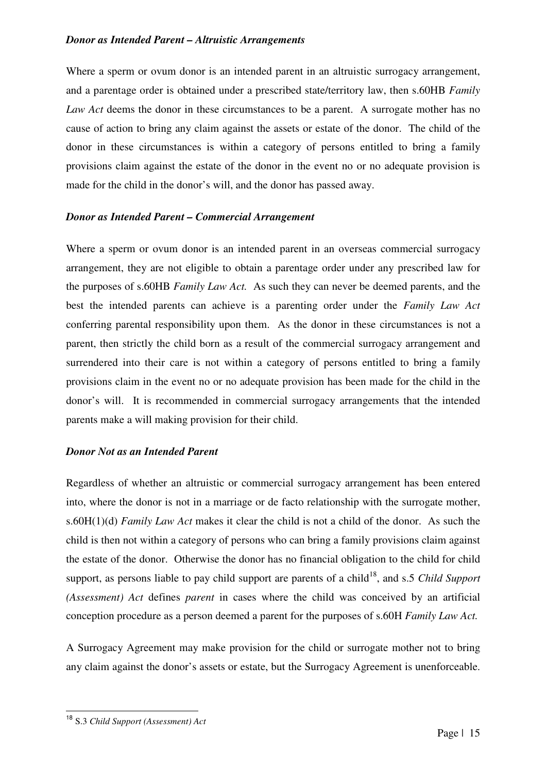#### *Donor as Intended Parent – Altruistic Arrangements*

Where a sperm or ovum donor is an intended parent in an altruistic surrogacy arrangement, and a parentage order is obtained under a prescribed state/territory law, then s.60HB *Family Law Act* deems the donor in these circumstances to be a parent. A surrogate mother has no cause of action to bring any claim against the assets or estate of the donor. The child of the donor in these circumstances is within a category of persons entitled to bring a family provisions claim against the estate of the donor in the event no or no adequate provision is made for the child in the donor's will, and the donor has passed away.

#### *Donor as Intended Parent – Commercial Arrangement*

Where a sperm or ovum donor is an intended parent in an overseas commercial surrogacy arrangement, they are not eligible to obtain a parentage order under any prescribed law for the purposes of s.60HB *Family Law Act.* As such they can never be deemed parents, and the best the intended parents can achieve is a parenting order under the *Family Law Act* conferring parental responsibility upon them. As the donor in these circumstances is not a parent, then strictly the child born as a result of the commercial surrogacy arrangement and surrendered into their care is not within a category of persons entitled to bring a family provisions claim in the event no or no adequate provision has been made for the child in the donor's will. It is recommended in commercial surrogacy arrangements that the intended parents make a will making provision for their child.

#### *Donor Not as an Intended Parent*

Regardless of whether an altruistic or commercial surrogacy arrangement has been entered into, where the donor is not in a marriage or de facto relationship with the surrogate mother, s.60H(1)(d) *Family Law Act* makes it clear the child is not a child of the donor. As such the child is then not within a category of persons who can bring a family provisions claim against the estate of the donor. Otherwise the donor has no financial obligation to the child for child support, as persons liable to pay child support are parents of a child<sup>18</sup>, and s.5 *Child Support (Assessment) Act* defines *parent* in cases where the child was conceived by an artificial conception procedure as a person deemed a parent for the purposes of s.60H *Family Law Act.*

A Surrogacy Agreement may make provision for the child or surrogate mother not to bring any claim against the donor's assets or estate, but the Surrogacy Agreement is unenforceable.

<sup>18</sup> S.3 *Child Support (Assessment) Act*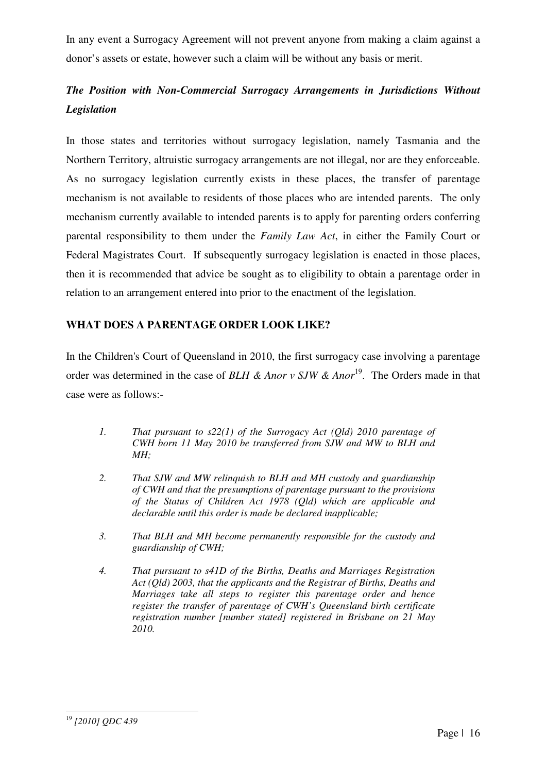In any event a Surrogacy Agreement will not prevent anyone from making a claim against a donor's assets or estate, however such a claim will be without any basis or merit.

# *The Position with Non-Commercial Surrogacy Arrangements in Jurisdictions Without Legislation*

In those states and territories without surrogacy legislation, namely Tasmania and the Northern Territory, altruistic surrogacy arrangements are not illegal, nor are they enforceable. As no surrogacy legislation currently exists in these places, the transfer of parentage mechanism is not available to residents of those places who are intended parents. The only mechanism currently available to intended parents is to apply for parenting orders conferring parental responsibility to them under the *Family Law Act*, in either the Family Court or Federal Magistrates Court. If subsequently surrogacy legislation is enacted in those places, then it is recommended that advice be sought as to eligibility to obtain a parentage order in relation to an arrangement entered into prior to the enactment of the legislation.

# **WHAT DOES A PARENTAGE ORDER LOOK LIKE?**

In the Children's Court of Queensland in 2010, the first surrogacy case involving a parentage order was determined in the case of *BLH & Anor v SJW & Anor*<sup>19</sup>. The Orders made in that case were as follows:-

- *1. That pursuant to s22(1) of the Surrogacy Act (Qld) 2010 parentage of CWH born 11 May 2010 be transferred from SJW and MW to BLH and MH;*
- *2. That SJW and MW relinquish to BLH and MH custody and guardianship of CWH and that the presumptions of parentage pursuant to the provisions of the Status of Children Act 1978 (Qld) which are applicable and declarable until this order is made be declared inapplicable;*
- *3. That BLH and MH become permanently responsible for the custody and guardianship of CWH;*
- *4. That pursuant to s41D of the Births, Deaths and Marriages Registration Act (Qld) 2003, that the applicants and the Registrar of Births, Deaths and Marriages take all steps to register this parentage order and hence register the transfer of parentage of CWH's Queensland birth certificate registration number [number stated] registered in Brisbane on 21 May 2010.*

<sup>19</sup> *[2010] QDC 439*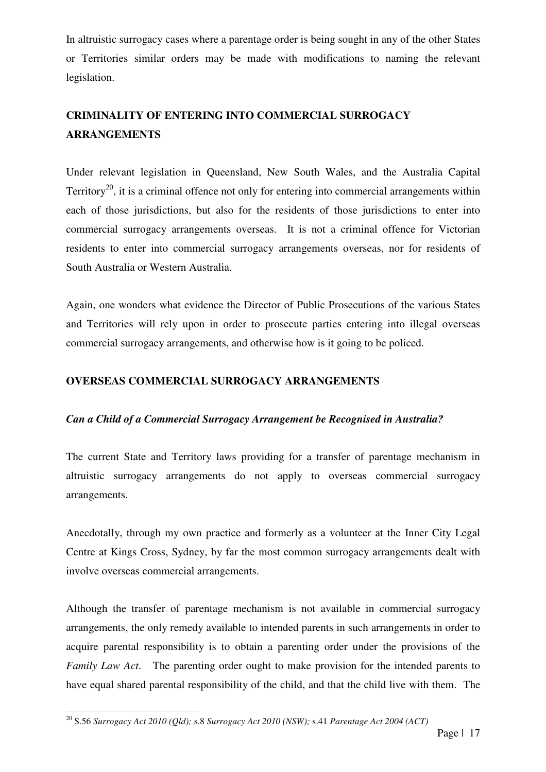In altruistic surrogacy cases where a parentage order is being sought in any of the other States or Territories similar orders may be made with modifications to naming the relevant legislation.

# **CRIMINALITY OF ENTERING INTO COMMERCIAL SURROGACY ARRANGEMENTS**

Under relevant legislation in Queensland, New South Wales, and the Australia Capital Territory<sup>20</sup>, it is a criminal offence not only for entering into commercial arrangements within each of those jurisdictions, but also for the residents of those jurisdictions to enter into commercial surrogacy arrangements overseas. It is not a criminal offence for Victorian residents to enter into commercial surrogacy arrangements overseas, nor for residents of South Australia or Western Australia.

Again, one wonders what evidence the Director of Public Prosecutions of the various States and Territories will rely upon in order to prosecute parties entering into illegal overseas commercial surrogacy arrangements, and otherwise how is it going to be policed.

# **OVERSEAS COMMERCIAL SURROGACY ARRANGEMENTS**

# *Can a Child of a Commercial Surrogacy Arrangement be Recognised in Australia?*

The current State and Territory laws providing for a transfer of parentage mechanism in altruistic surrogacy arrangements do not apply to overseas commercial surrogacy arrangements.

Anecdotally, through my own practice and formerly as a volunteer at the Inner City Legal Centre at Kings Cross, Sydney, by far the most common surrogacy arrangements dealt with involve overseas commercial arrangements.

Although the transfer of parentage mechanism is not available in commercial surrogacy arrangements, the only remedy available to intended parents in such arrangements in order to acquire parental responsibility is to obtain a parenting order under the provisions of the *Family Law Act*. The parenting order ought to make provision for the intended parents to have equal shared parental responsibility of the child, and that the child live with them. The

<sup>20</sup> S.56 *Surrogacy Act 2010 (Qld);* s.8 *Surrogacy Act 2010 (NSW);* s.41 *Parentage Act 2004 (ACT)*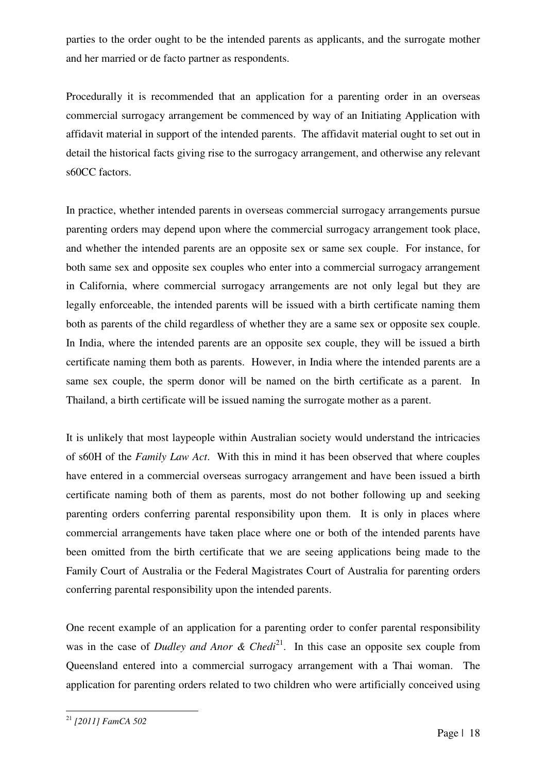parties to the order ought to be the intended parents as applicants, and the surrogate mother and her married or de facto partner as respondents.

Procedurally it is recommended that an application for a parenting order in an overseas commercial surrogacy arrangement be commenced by way of an Initiating Application with affidavit material in support of the intended parents. The affidavit material ought to set out in detail the historical facts giving rise to the surrogacy arrangement, and otherwise any relevant s60CC factors.

In practice, whether intended parents in overseas commercial surrogacy arrangements pursue parenting orders may depend upon where the commercial surrogacy arrangement took place, and whether the intended parents are an opposite sex or same sex couple. For instance, for both same sex and opposite sex couples who enter into a commercial surrogacy arrangement in California, where commercial surrogacy arrangements are not only legal but they are legally enforceable, the intended parents will be issued with a birth certificate naming them both as parents of the child regardless of whether they are a same sex or opposite sex couple. In India, where the intended parents are an opposite sex couple, they will be issued a birth certificate naming them both as parents. However, in India where the intended parents are a same sex couple, the sperm donor will be named on the birth certificate as a parent. In Thailand, a birth certificate will be issued naming the surrogate mother as a parent.

It is unlikely that most laypeople within Australian society would understand the intricacies of s60H of the *Family Law Act*. With this in mind it has been observed that where couples have entered in a commercial overseas surrogacy arrangement and have been issued a birth certificate naming both of them as parents, most do not bother following up and seeking parenting orders conferring parental responsibility upon them. It is only in places where commercial arrangements have taken place where one or both of the intended parents have been omitted from the birth certificate that we are seeing applications being made to the Family Court of Australia or the Federal Magistrates Court of Australia for parenting orders conferring parental responsibility upon the intended parents.

One recent example of an application for a parenting order to confer parental responsibility was in the case of *Dudley and Anor & Chedi*<sup>21</sup>. In this case an opposite sex couple from Queensland entered into a commercial surrogacy arrangement with a Thai woman. The application for parenting orders related to two children who were artificially conceived using

<sup>21</sup> *[2011] FamCA 502*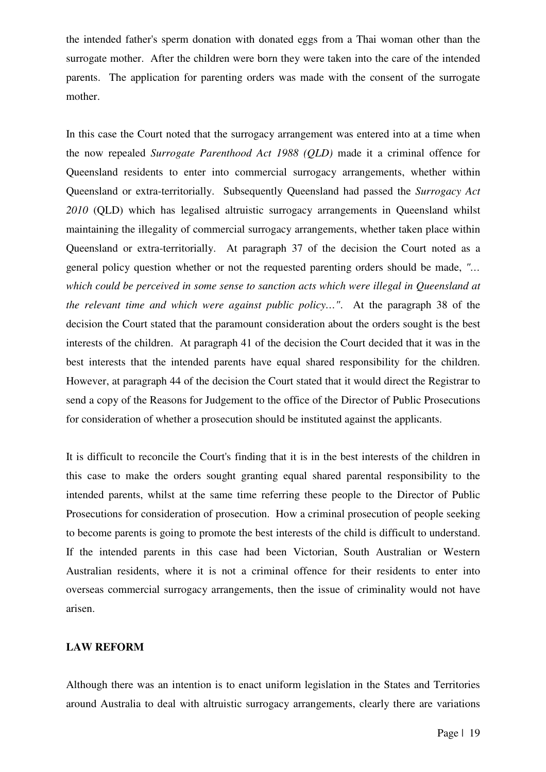the intended father's sperm donation with donated eggs from a Thai woman other than the surrogate mother. After the children were born they were taken into the care of the intended parents. The application for parenting orders was made with the consent of the surrogate mother.

In this case the Court noted that the surrogacy arrangement was entered into at a time when the now repealed *Surrogate Parenthood Act 1988 (QLD)* made it a criminal offence for Queensland residents to enter into commercial surrogacy arrangements, whether within Queensland or extra-territorially. Subsequently Queensland had passed the *Surrogacy Act 2010* (QLD) which has legalised altruistic surrogacy arrangements in Queensland whilst maintaining the illegality of commercial surrogacy arrangements, whether taken place within Queensland or extra-territorially. At paragraph 37 of the decision the Court noted as a general policy question whether or not the requested parenting orders should be made, *"… which could be perceived in some sense to sanction acts which were illegal in Queensland at the relevant time and which were against public policy…"*. At the paragraph 38 of the decision the Court stated that the paramount consideration about the orders sought is the best interests of the children. At paragraph 41 of the decision the Court decided that it was in the best interests that the intended parents have equal shared responsibility for the children. However, at paragraph 44 of the decision the Court stated that it would direct the Registrar to send a copy of the Reasons for Judgement to the office of the Director of Public Prosecutions for consideration of whether a prosecution should be instituted against the applicants.

It is difficult to reconcile the Court's finding that it is in the best interests of the children in this case to make the orders sought granting equal shared parental responsibility to the intended parents, whilst at the same time referring these people to the Director of Public Prosecutions for consideration of prosecution. How a criminal prosecution of people seeking to become parents is going to promote the best interests of the child is difficult to understand. If the intended parents in this case had been Victorian, South Australian or Western Australian residents, where it is not a criminal offence for their residents to enter into overseas commercial surrogacy arrangements, then the issue of criminality would not have arisen.

## **LAW REFORM**

Although there was an intention is to enact uniform legislation in the States and Territories around Australia to deal with altruistic surrogacy arrangements, clearly there are variations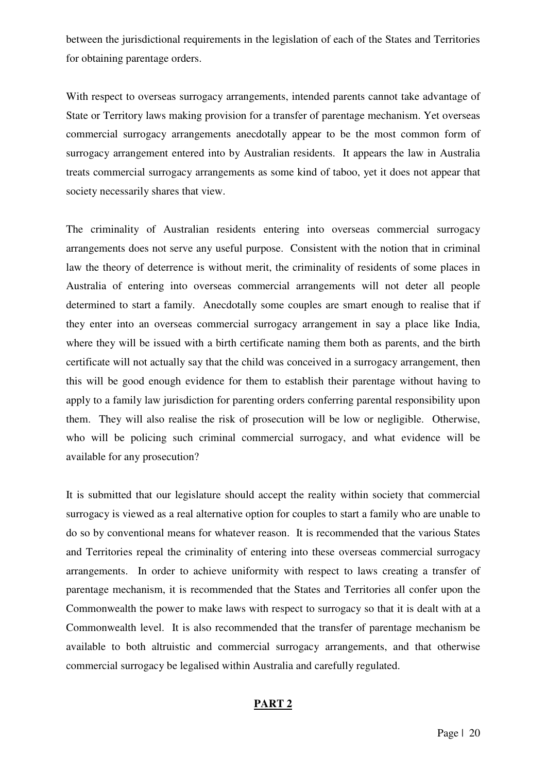between the jurisdictional requirements in the legislation of each of the States and Territories for obtaining parentage orders.

With respect to overseas surrogacy arrangements, intended parents cannot take advantage of State or Territory laws making provision for a transfer of parentage mechanism. Yet overseas commercial surrogacy arrangements anecdotally appear to be the most common form of surrogacy arrangement entered into by Australian residents. It appears the law in Australia treats commercial surrogacy arrangements as some kind of taboo, yet it does not appear that society necessarily shares that view.

The criminality of Australian residents entering into overseas commercial surrogacy arrangements does not serve any useful purpose. Consistent with the notion that in criminal law the theory of deterrence is without merit, the criminality of residents of some places in Australia of entering into overseas commercial arrangements will not deter all people determined to start a family. Anecdotally some couples are smart enough to realise that if they enter into an overseas commercial surrogacy arrangement in say a place like India, where they will be issued with a birth certificate naming them both as parents, and the birth certificate will not actually say that the child was conceived in a surrogacy arrangement, then this will be good enough evidence for them to establish their parentage without having to apply to a family law jurisdiction for parenting orders conferring parental responsibility upon them. They will also realise the risk of prosecution will be low or negligible. Otherwise, who will be policing such criminal commercial surrogacy, and what evidence will be available for any prosecution?

It is submitted that our legislature should accept the reality within society that commercial surrogacy is viewed as a real alternative option for couples to start a family who are unable to do so by conventional means for whatever reason. It is recommended that the various States and Territories repeal the criminality of entering into these overseas commercial surrogacy arrangements. In order to achieve uniformity with respect to laws creating a transfer of parentage mechanism, it is recommended that the States and Territories all confer upon the Commonwealth the power to make laws with respect to surrogacy so that it is dealt with at a Commonwealth level. It is also recommended that the transfer of parentage mechanism be available to both altruistic and commercial surrogacy arrangements, and that otherwise commercial surrogacy be legalised within Australia and carefully regulated.

#### **PART 2**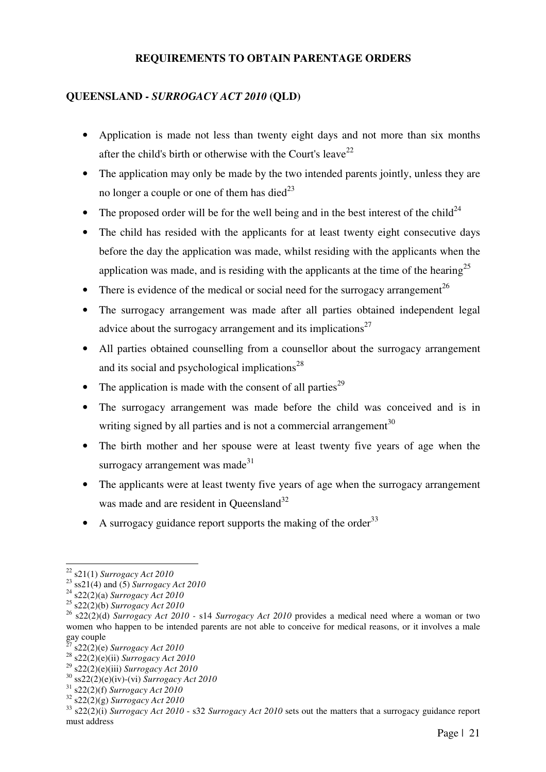## **REQUIREMENTS TO OBTAIN PARENTAGE ORDERS**

# **QUEENSLAND -** *SURROGACY ACT 2010* **(QLD)**

- Application is made not less than twenty eight days and not more than six months after the child's birth or otherwise with the Court's leave<sup>22</sup>
- The application may only be made by the two intended parents jointly, unless they are no longer a couple or one of them has died<sup>23</sup>
- The proposed order will be for the well being and in the best interest of the child<sup>24</sup>
- The child has resided with the applicants for at least twenty eight consecutive days before the day the application was made, whilst residing with the applicants when the application was made, and is residing with the applicants at the time of the hearing<sup>25</sup>
- There is evidence of the medical or social need for the surrogacy arrangement<sup>26</sup>
- The surrogacy arrangement was made after all parties obtained independent legal advice about the surrogacy arrangement and its implications<sup>27</sup>
- All parties obtained counselling from a counsellor about the surrogacy arrangement and its social and psychological implications $^{28}$
- The application is made with the consent of all parties<sup>29</sup>
- The surrogacy arrangement was made before the child was conceived and is in writing signed by all parties and is not a commercial arrangement<sup>30</sup>
- The birth mother and her spouse were at least twenty five years of age when the surrogacy arrangement was made $31$
- The applicants were at least twenty five years of age when the surrogacy arrangement was made and are resident in Oueensland<sup>32</sup>
- A surrogacy guidance report supports the making of the order<sup>33</sup>

<sup>22</sup> s21(1) *Surrogacy Act 2010* 

<sup>23</sup> ss21(4) and (5) *Surrogacy Act 2010* 

<sup>24</sup> s22(2)(a) *Surrogacy Act 2010*

<sup>25</sup> s22(2)(b) *Surrogacy Act 2010* 

<sup>26</sup> s22(2)(d) *Surrogacy Act 2010 -* s14 *Surrogacy Act 2010* provides a medical need where a woman or two women who happen to be intended parents are not able to conceive for medical reasons, or it involves a male gay couple

<sup>27</sup> s22(2)(e) *Surrogacy Act 2010*

<sup>28</sup> s22(2)(e)(ii) *Surrogacy Act 2010*

<sup>29</sup> s22(2)(e)(iii) *Surrogacy Act 2010*

<sup>30</sup> ss22(2)(e)(iv)-(vi) *Surrogacy Act 2010*

<sup>31</sup> s22(2)(f) *Surrogacy Act 2010*

<sup>32</sup> s22(2)(g) *Surrogacy Act 2010*

<sup>33</sup> s22(2)(i) *Surrogacy Act 2010* - s32 *Surrogacy Act 2010* sets out the matters that a surrogacy guidance report must address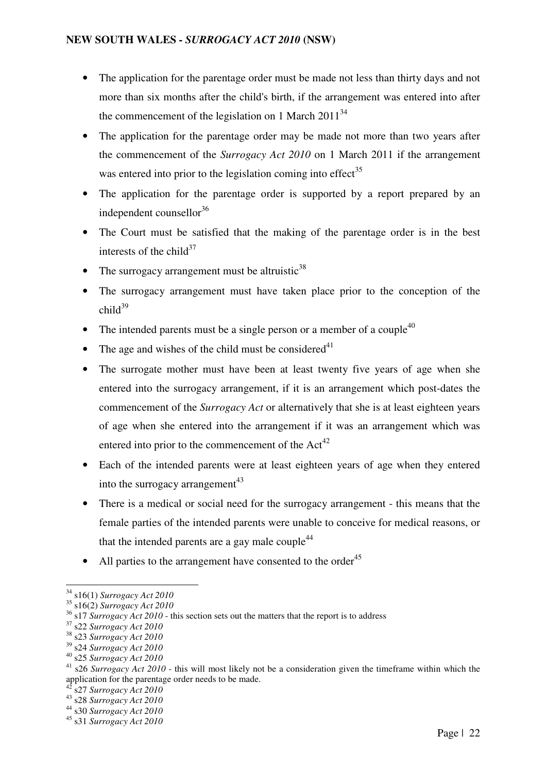- The application for the parentage order must be made not less than thirty days and not more than six months after the child's birth, if the arrangement was entered into after the commencement of the legislation on 1 March  $2011^{34}$
- The application for the parentage order may be made not more than two years after the commencement of the *Surrogacy Act 2010* on 1 March 2011 if the arrangement was entered into prior to the legislation coming into effect $35$
- The application for the parentage order is supported by a report prepared by an independent counsellor  $36$
- The Court must be satisfied that the making of the parentage order is in the best interests of the child<sup>37</sup>
- The surrogacy arrangement must be altruistic<sup>38</sup>
- The surrogacy arrangement must have taken place prior to the conception of the  $child^{39}$
- The intended parents must be a single person or a member of a couple<sup>40</sup>
- The age and wishes of the child must be considered $41$
- The surrogate mother must have been at least twenty five years of age when she entered into the surrogacy arrangement, if it is an arrangement which post-dates the commencement of the *Surrogacy Act* or alternatively that she is at least eighteen years of age when she entered into the arrangement if it was an arrangement which was entered into prior to the commencement of the  $Act^{42}$
- Each of the intended parents were at least eighteen years of age when they entered into the surrogacy arrangement<sup>43</sup>
- There is a medical or social need for the surrogacy arrangement this means that the female parties of the intended parents were unable to conceive for medical reasons, or that the intended parents are a gay male couple<sup>44</sup>
- All parties to the arrangement have consented to the order<sup>45</sup>

<sup>34</sup> s16(1) *Surrogacy Act 2010* 

<sup>35</sup> s16(2) *Surrogacy Act 2010*

<sup>&</sup>lt;sup>36</sup> s17 *Surrogacy Act 2010* - this section sets out the matters that the report is to address

<sup>37</sup> s22 *Surrogacy Act 2010*

<sup>38</sup> s23 *Surrogacy Act 2010*

<sup>39</sup> s24 *Surrogacy Act 2010*

<sup>40</sup> s25 *Surrogacy Act 2010*

<sup>41</sup> s26 *Surrogacy Act 2010* - this will most likely not be a consideration given the timeframe within which the application for the parentage order needs to be made.

<sup>42</sup> s27 *Surrogacy Act 2010*

<sup>43</sup> s28 *Surrogacy Act 2010*

<sup>44</sup> s30 *Surrogacy Act 2010*

<sup>45</sup> s31 *Surrogacy Act 2010*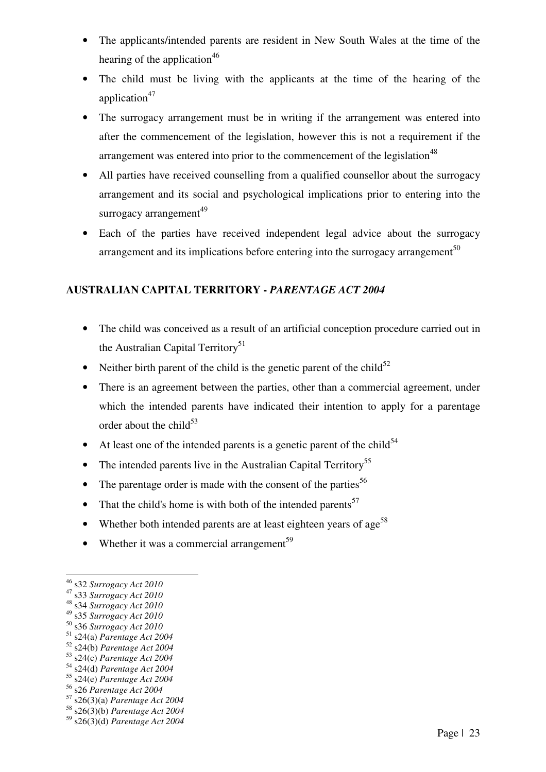- The applicants/intended parents are resident in New South Wales at the time of the hearing of the application<sup>46</sup>
- The child must be living with the applicants at the time of the hearing of the application $47$
- The surrogacy arrangement must be in writing if the arrangement was entered into after the commencement of the legislation, however this is not a requirement if the arrangement was entered into prior to the commencement of the legislation<sup>48</sup>
- All parties have received counselling from a qualified counsellor about the surrogacy arrangement and its social and psychological implications prior to entering into the surrogacy arrangement $49$
- Each of the parties have received independent legal advice about the surrogacy arrangement and its implications before entering into the surrogacy arrangement<sup>50</sup>

# **AUSTRALIAN CAPITAL TERRITORY -** *PARENTAGE ACT 2004*

- The child was conceived as a result of an artificial conception procedure carried out in the Australian Capital Territory<sup>51</sup>
- Neither birth parent of the child is the genetic parent of the child<sup>52</sup>
- There is an agreement between the parties, other than a commercial agreement, under which the intended parents have indicated their intention to apply for a parentage order about the child $^{53}$
- At least one of the intended parents is a genetic parent of the child<sup>54</sup>
- The intended parents live in the Australian Capital Territory<sup>55</sup>
- The parentage order is made with the consent of the parties<sup>56</sup>
- That the child's home is with both of the intended parents<sup>57</sup>
- Whether both intended parents are at least eighteen years of age<sup>58</sup>
- Whether it was a commercial arrangement<sup>59</sup>

<sup>46</sup> s32 *Surrogacy Act 2010*

<sup>47</sup> s33 *Surrogacy Act 2010*

<sup>48</sup> s34 *Surrogacy Act 2010*

<sup>49</sup> s35 *Surrogacy Act 2010* <sup>50</sup> s36 *Surrogacy Act 2010*

<sup>51</sup> s24(a) *Parentage Act 2004* 

<sup>52</sup> s24(b) *Parentage Act 2004*

<sup>53</sup> s24(c) *Parentage Act 2004*

<sup>54</sup> s24(d) *Parentage Act 2004*

<sup>55</sup> s24(e) *Parentage Act 2004*

<sup>56</sup> s26 *Parentage Act 2004*

<sup>57</sup> s26(3)(a) *Parentage Act 2004*

<sup>58</sup> s26(3)(b) *Parentage Act 2004*

<sup>59</sup> s26(3)(d) *Parentage Act 2004*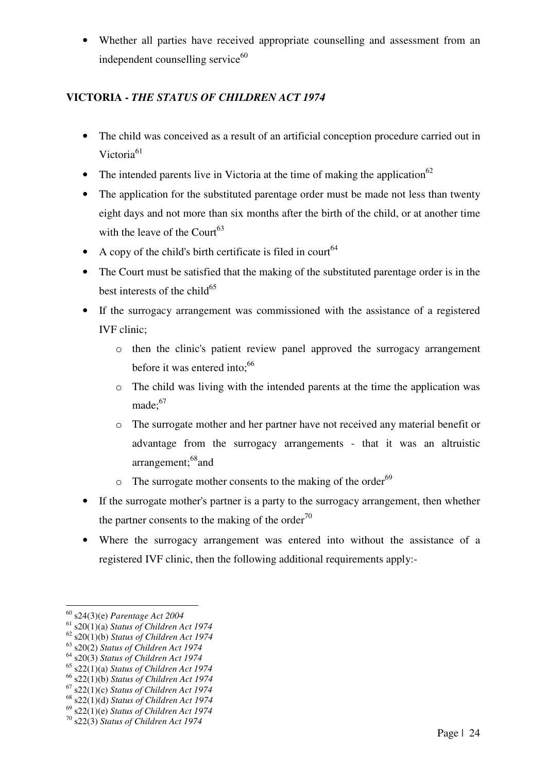• Whether all parties have received appropriate counselling and assessment from an independent counselling service $60$ 

# **VICTORIA -** *THE STATUS OF CHILDREN ACT 1974*

- The child was conceived as a result of an artificial conception procedure carried out in Victoria<sup>61</sup>
- The intended parents live in Victoria at the time of making the application<sup>62</sup>
- The application for the substituted parentage order must be made not less than twenty eight days and not more than six months after the birth of the child, or at another time with the leave of the Court<sup>63</sup>
- A copy of the child's birth certificate is filed in court<sup>64</sup>
- The Court must be satisfied that the making of the substituted parentage order is in the best interests of the child<sup>65</sup>
- If the surrogacy arrangement was commissioned with the assistance of a registered IVF clinic;
	- o then the clinic's patient review panel approved the surrogacy arrangement before it was entered into: $66$
	- o The child was living with the intended parents at the time the application was made: $67$
	- o The surrogate mother and her partner have not received any material benefit or advantage from the surrogacy arrangements - that it was an altruistic arrangement;<sup>68</sup>and
	- $\circ$  The surrogate mother consents to the making of the order<sup>69</sup>
- If the surrogate mother's partner is a party to the surrogacy arrangement, then whether the partner consents to the making of the order<sup>70</sup>
- Where the surrogacy arrangement was entered into without the assistance of a registered IVF clinic, then the following additional requirements apply:-

<sup>60</sup> s24(3)(e) *Parentage Act 2004*

<sup>61</sup> s20(1)(a) *Status of Children Act 1974* 

<sup>62</sup> s20(1)(b) *Status of Children Act 1974*

<sup>63</sup> s20(2) *Status of Children Act 1974*

<sup>64</sup> s20(3) *Status of Children Act 1974*

<sup>65</sup> s22(1)(a) *Status of Children Act 1974*

<sup>66</sup> s22(1)(b) *Status of Children Act 1974*

<sup>67</sup> s22(1)(c) *Status of Children Act 1974*

<sup>68</sup> s22(1)(d) *Status of Children Act 1974*

<sup>69</sup> s22(1)(e) *Status of Children Act 1974* <sup>70</sup> s22(3) *Status of Children Act 1974*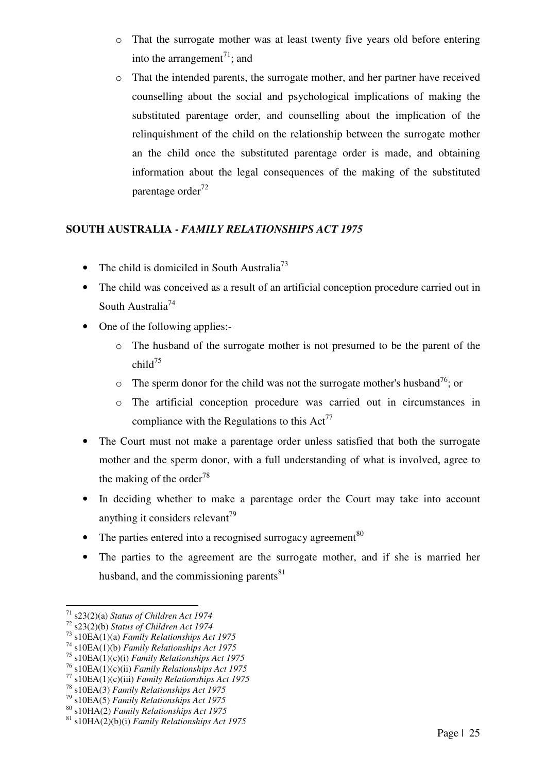- o That the surrogate mother was at least twenty five years old before entering into the arrangement<sup>71</sup>; and
- o That the intended parents, the surrogate mother, and her partner have received counselling about the social and psychological implications of making the substituted parentage order, and counselling about the implication of the relinquishment of the child on the relationship between the surrogate mother an the child once the substituted parentage order is made, and obtaining information about the legal consequences of the making of the substituted parentage order $^{72}$

# **SOUTH AUSTRALIA -** *FAMILY RELATIONSHIPS ACT 1975*

- The child is domiciled in South Australia<sup>73</sup>
- The child was conceived as a result of an artificial conception procedure carried out in South Australia<sup>74</sup>
- One of the following applies:
	- o The husband of the surrogate mother is not presumed to be the parent of the  $child^{75}$
	- $\circ$  The sperm donor for the child was not the surrogate mother's husband<sup>76</sup>; or
	- o The artificial conception procedure was carried out in circumstances in compliance with the Regulations to this  $Act^{77}$
- The Court must not make a parentage order unless satisfied that both the surrogate mother and the sperm donor, with a full understanding of what is involved, agree to the making of the order<sup>78</sup>
- In deciding whether to make a parentage order the Court may take into account anything it considers relevant<sup>79</sup>
- The parties entered into a recognised surrogacy agreement<sup>80</sup>
- The parties to the agreement are the surrogate mother, and if she is married her husband, and the commissioning parents $81$

<sup>71</sup> s23(2)(a) *Status of Children Act 1974*

<sup>72</sup> s23(2)(b) *Status of Children Act 1974*

<sup>73</sup> s10EA(1)(a) *Family Relationships Act 1975*

<sup>74</sup> s10EA(1)(b) *Family Relationships Act 1975*

<sup>75</sup> s10EA(1)(c)(i) *Family Relationships Act 1975*

<sup>76</sup> s10EA(1)(c)(ii) *Family Relationships Act 1975*

<sup>77</sup> s10EA(1)(c)(iii) *Family Relationships Act 1975*

<sup>78</sup> s10EA(3) *Family Relationships Act 1975*

<sup>79</sup> s10EA(5) *Family Relationships Act 1975*

<sup>80</sup> s10HA(2) *Family Relationships Act 1975*

<sup>81</sup> s10HA(2)(b)(i) *Family Relationships Act 1975*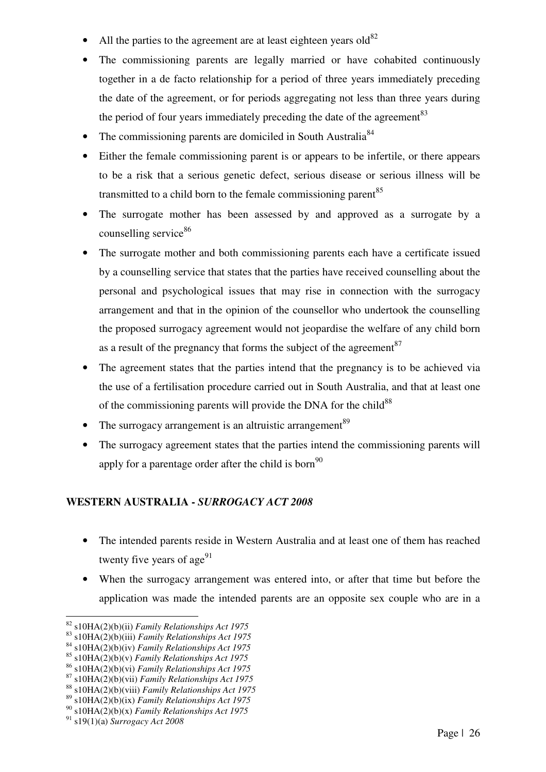- All the parties to the agreement are at least eighteen years  $\text{old}^{82}$
- The commissioning parents are legally married or have cohabited continuously together in a de facto relationship for a period of three years immediately preceding the date of the agreement, or for periods aggregating not less than three years during the period of four years immediately preceding the date of the agreement  $83$
- The commissioning parents are domiciled in South Australia<sup>84</sup>
- Either the female commissioning parent is or appears to be infertile, or there appears to be a risk that a serious genetic defect, serious disease or serious illness will be transmitted to a child born to the female commissioning parent  $85$
- The surrogate mother has been assessed by and approved as a surrogate by a counselling service<sup>86</sup>
- The surrogate mother and both commissioning parents each have a certificate issued by a counselling service that states that the parties have received counselling about the personal and psychological issues that may rise in connection with the surrogacy arrangement and that in the opinion of the counsellor who undertook the counselling the proposed surrogacy agreement would not jeopardise the welfare of any child born as a result of the pregnancy that forms the subject of the agreement  $87$
- The agreement states that the parties intend that the pregnancy is to be achieved via the use of a fertilisation procedure carried out in South Australia, and that at least one of the commissioning parents will provide the DNA for the child<sup>88</sup>
- The surrogacy arrangement is an altruistic arrangement<sup>89</sup>
- The surrogacy agreement states that the parties intend the commissioning parents will apply for a parentage order after the child is born<sup>90</sup>

# **WESTERN AUSTRALIA -** *SURROGACY ACT 2008*

- The intended parents reside in Western Australia and at least one of them has reached twenty five years of  $\text{age}^{91}$
- When the surrogacy arrangement was entered into, or after that time but before the application was made the intended parents are an opposite sex couple who are in a

<sup>82</sup> s10HA(2)(b)(ii) *Family Relationships Act 1975*

<sup>83</sup> s10HA(2)(b)(iii) *Family Relationships Act 1975*

<sup>84</sup> s10HA(2)(b)(iv) *Family Relationships Act 1975*

<sup>85</sup> s10HA(2)(b)(v) *Family Relationships Act 1975*

<sup>86</sup> s10HA(2)(b)(vi) *Family Relationships Act 1975*

<sup>87</sup> s10HA(2)(b)(vii) *Family Relationships Act 1975*

<sup>88</sup> s10HA(2)(b)(viii) *Family Relationships Act 1975*

<sup>89</sup> s10HA(2)(b)(ix) *Family Relationships Act 1975*

<sup>90</sup> s10HA(2)(b)(x) *Family Relationships Act 1975*

<sup>91</sup> s19(1)(a) *Surrogacy Act 2008*